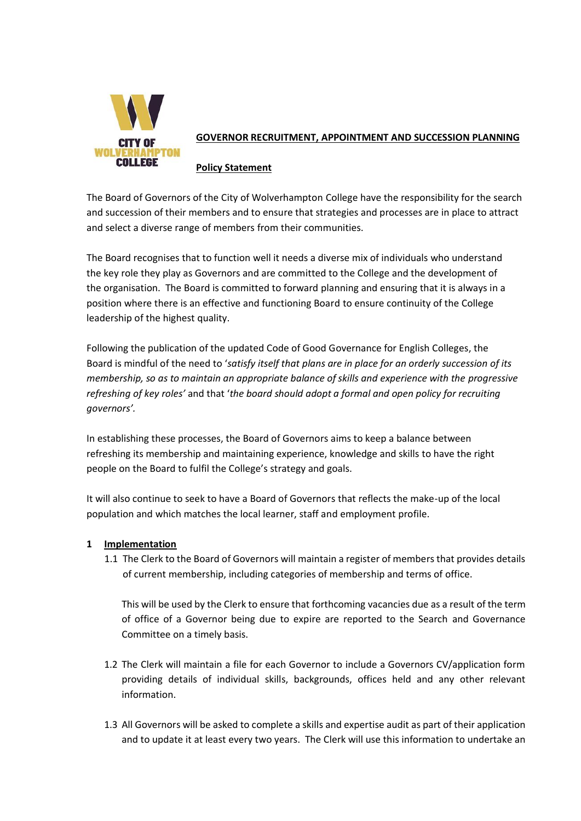

# **GOVERNOR RECRUITMENT, APPOINTMENT AND SUCCESSION PLANNING**

#### **Policy Statement**

The Board of Governors of the City of Wolverhampton College have the responsibility for the search and succession of their members and to ensure that strategies and processes are in place to attract and select a diverse range of members from their communities.

The Board recognises that to function well it needs a diverse mix of individuals who understand the key role they play as Governors and are committed to the College and the development of the organisation. The Board is committed to forward planning and ensuring that it is always in a position where there is an effective and functioning Board to ensure continuity of the College leadership of the highest quality.

Following the publication of the updated Code of Good Governance for English Colleges, the Board is mindful of the need to '*satisfy itself that plans are in place for an orderly succession of its membership, so as to maintain an appropriate balance of skills and experience with the progressive refreshing of key roles'* and that '*the board should adopt a formal and open policy for recruiting governors'.*

In establishing these processes, the Board of Governors aims to keep a balance between refreshing its membership and maintaining experience, knowledge and skills to have the right people on the Board to fulfil the College's strategy and goals.

It will also continue to seek to have a Board of Governors that reflects the make-up of the local population and which matches the local learner, staff and employment profile.

## **1 Implementation**

1.1 The Clerk to the Board of Governors will maintain a register of members that provides details of current membership, including categories of membership and terms of office.

This will be used by the Clerk to ensure that forthcoming vacancies due as a result of the term of office of a Governor being due to expire are reported to the Search and Governance Committee on a timely basis.

- 1.2 The Clerk will maintain a file for each Governor to include a Governors CV/application form providing details of individual skills, backgrounds, offices held and any other relevant information.
- 1.3 All Governors will be asked to complete a skills and expertise audit as part of their application and to update it at least every two years. The Clerk will use this information to undertake an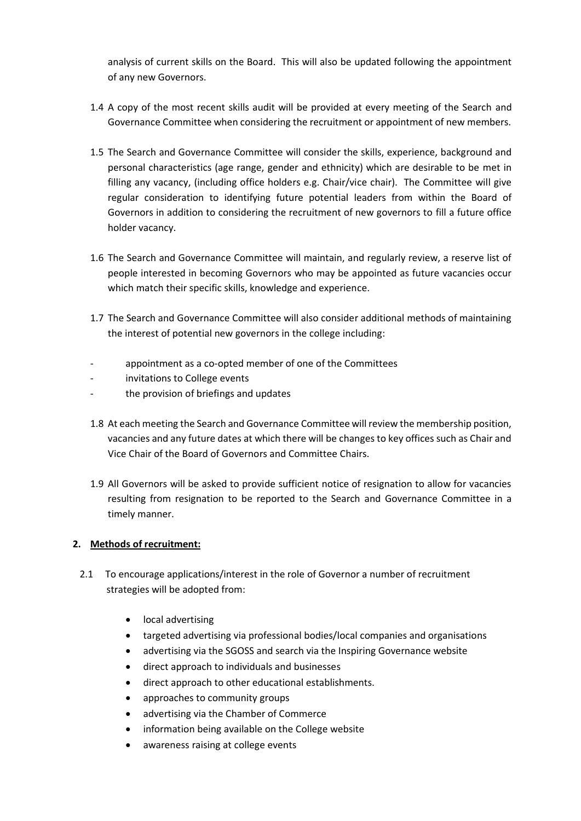analysis of current skills on the Board. This will also be updated following the appointment of any new Governors.

- 1.4 A copy of the most recent skills audit will be provided at every meeting of the Search and Governance Committee when considering the recruitment or appointment of new members.
- 1.5 The Search and Governance Committee will consider the skills, experience, background and personal characteristics (age range, gender and ethnicity) which are desirable to be met in filling any vacancy, (including office holders e.g. Chair/vice chair). The Committee will give regular consideration to identifying future potential leaders from within the Board of Governors in addition to considering the recruitment of new governors to fill a future office holder vacancy.
- 1.6 The Search and Governance Committee will maintain, and regularly review, a reserve list of people interested in becoming Governors who may be appointed as future vacancies occur which match their specific skills, knowledge and experience.
- 1.7 The Search and Governance Committee will also consider additional methods of maintaining the interest of potential new governors in the college including:
- appointment as a co-opted member of one of the Committees
- invitations to College events
- the provision of briefings and updates
- 1.8 At each meeting the Search and Governance Committee will review the membership position, vacancies and any future dates at which there will be changes to key offices such as Chair and Vice Chair of the Board of Governors and Committee Chairs.
- 1.9 All Governors will be asked to provide sufficient notice of resignation to allow for vacancies resulting from resignation to be reported to the Search and Governance Committee in a timely manner.

#### **2. Methods of recruitment:**

- 2.1 To encourage applications/interest in the role of Governor a number of recruitment strategies will be adopted from:
	- local advertising
	- targeted advertising via professional bodies/local companies and organisations
	- advertising via the SGOSS and search via the Inspiring Governance website
	- direct approach to individuals and businesses
	- direct approach to other educational establishments.
	- approaches to community groups
	- advertising via the Chamber of Commerce
	- information being available on the College website
	- awareness raising at college events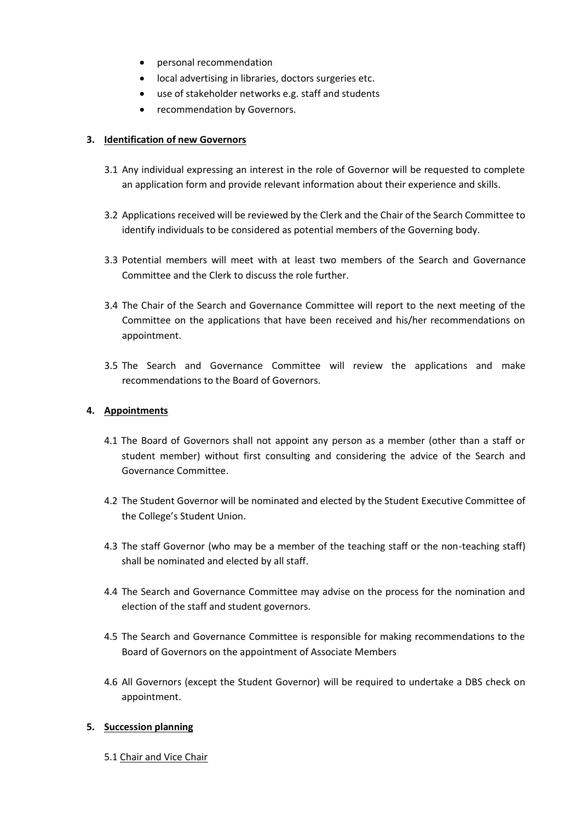- personal recommendation
- local advertising in libraries, doctors surgeries etc.
- use of stakeholder networks e.g. staff and students
- recommendation by Governors.

## **3. Identification of new Governors**

- 3.1 Any individual expressing an interest in the role of Governor will be requested to complete an application form and provide relevant information about their experience and skills.
- 3.2 Applications received will be reviewed by the Clerk and the Chair of the Search Committee to identify individuals to be considered as potential members of the Governing body.
- 3.3 Potential members will meet with at least two members of the Search and Governance Committee and the Clerk to discuss the role further.
- 3.4 The Chair of the Search and Governance Committee will report to the next meeting of the Committee on the applications that have been received and his/her recommendations on appointment.
- 3.5 The Search and Governance Committee will review the applications and make recommendations to the Board of Governors.

## **4. Appointments**

- 4.1 The Board of Governors shall not appoint any person as a member (other than a staff or student member) without first consulting and considering the advice of the Search and Governance Committee.
- 4.2 The Student Governor will be nominated and elected by the Student Executive Committee of the College's Student Union.
- 4.3 The staff Governor (who may be a member of the teaching staff or the non-teaching staff) shall be nominated and elected by all staff.
- 4.4 The Search and Governance Committee may advise on the process for the nomination and election of the staff and student governors.
- 4.5 The Search and Governance Committee is responsible for making recommendations to the Board of Governors on the appointment of Associate Members
- 4.6 All Governors (except the Student Governor) will be required to undertake a DBS check on appointment.

## **5. Succession planning**

5.1 Chair and Vice Chair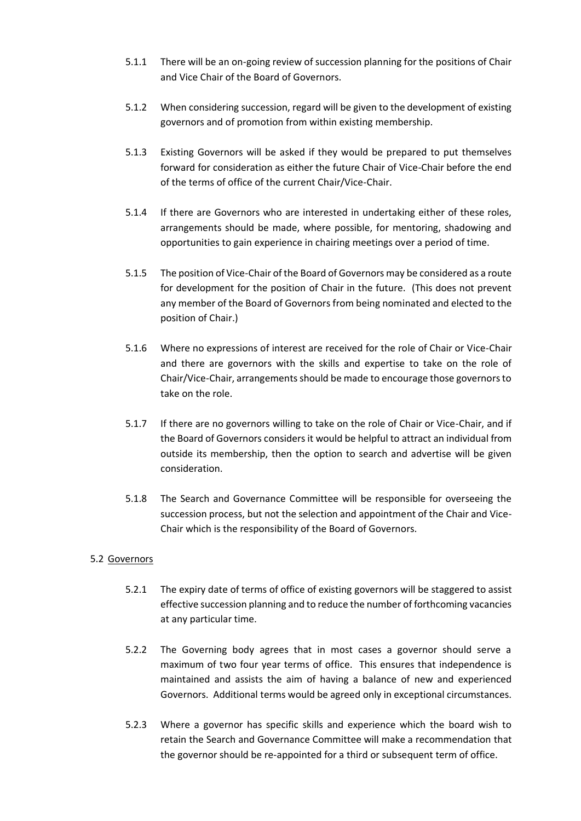- 5.1.1 There will be an on-going review of succession planning for the positions of Chair and Vice Chair of the Board of Governors.
- 5.1.2 When considering succession, regard will be given to the development of existing governors and of promotion from within existing membership.
- 5.1.3 Existing Governors will be asked if they would be prepared to put themselves forward for consideration as either the future Chair of Vice-Chair before the end of the terms of office of the current Chair/Vice-Chair.
- 5.1.4 If there are Governors who are interested in undertaking either of these roles, arrangements should be made, where possible, for mentoring, shadowing and opportunities to gain experience in chairing meetings over a period of time.
- 5.1.5 The position of Vice-Chair of the Board of Governors may be considered as a route for development for the position of Chair in the future. (This does not prevent any member of the Board of Governors from being nominated and elected to the position of Chair.)
- 5.1.6 Where no expressions of interest are received for the role of Chair or Vice-Chair and there are governors with the skills and expertise to take on the role of Chair/Vice-Chair, arrangements should be made to encourage those governors to take on the role.
- 5.1.7 If there are no governors willing to take on the role of Chair or Vice-Chair, and if the Board of Governors considers it would be helpful to attract an individual from outside its membership, then the option to search and advertise will be given consideration.
- 5.1.8 The Search and Governance Committee will be responsible for overseeing the succession process, but not the selection and appointment of the Chair and Vice-Chair which is the responsibility of the Board of Governors.

## 5.2 Governors

- 5.2.1 The expiry date of terms of office of existing governors will be staggered to assist effective succession planning and to reduce the number of forthcoming vacancies at any particular time.
- 5.2.2 The Governing body agrees that in most cases a governor should serve a maximum of two four year terms of office. This ensures that independence is maintained and assists the aim of having a balance of new and experienced Governors. Additional terms would be agreed only in exceptional circumstances.
- 5.2.3 Where a governor has specific skills and experience which the board wish to retain the Search and Governance Committee will make a recommendation that the governor should be re-appointed for a third or subsequent term of office.